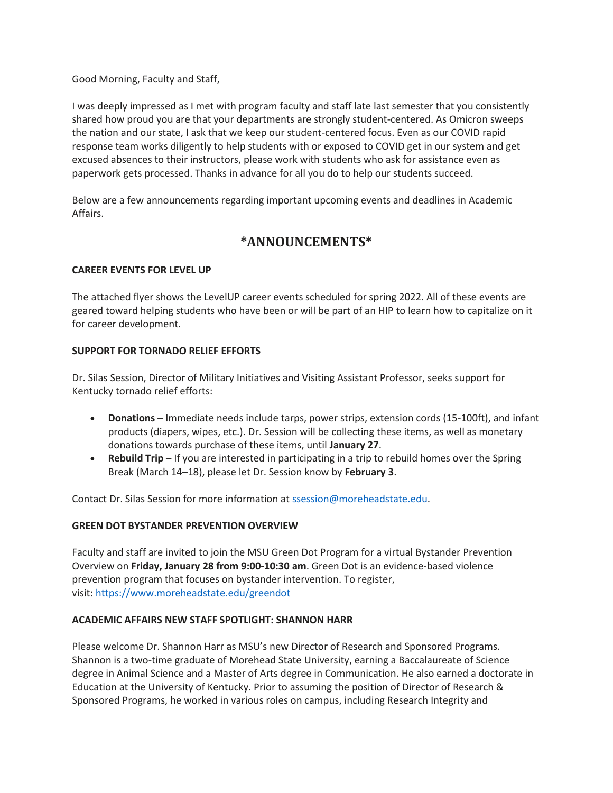Good Morning, Faculty and Staff,

I was deeply impressed as I met with program faculty and staff late last semester that you consistently shared how proud you are that your departments are strongly student-centered. As Omicron sweeps the nation and our state, I ask that we keep our student-centered focus. Even as our COVID rapid response team works diligently to help students with or exposed to COVID get in our system and get excused absences to their instructors, please work with students who ask for assistance even as paperwork gets processed. Thanks in advance for all you do to help our students succeed.

Below are a few announcements regarding important upcoming events and deadlines in Academic Affairs.

# **\*ANNOUNCEMENTS\***

## **CAREER EVENTS FOR LEVEL UP**

The attached flyer shows the LevelUP career events scheduled for spring 2022. All of these events are geared toward helping students who have been or will be part of an HIP to learn how to capitalize on it for career development.

## **SUPPORT FOR TORNADO RELIEF EFFORTS**

Dr. Silas Session, Director of Military Initiatives and Visiting Assistant Professor, seeks support for Kentucky tornado relief efforts:

- **Donations** Immediate needs include tarps, power strips, extension cords (15-100ft), and infant products (diapers, wipes, etc.). Dr. Session will be collecting these items, as well as monetary donations towards purchase of these items, until **January 27**.
- **Rebuild Trip** If you are interested in participating in a trip to rebuild homes over the Spring Break (March 14–18), please let Dr. Session know by **February 3**.

Contact Dr. Silas Session for more information at [ssession@moreheadstate.edu.](mailto:ssession@moreheadstate.edu)

# **GREEN DOT BYSTANDER PREVENTION OVERVIEW**

Faculty and staff are invited to join the MSU Green Dot Program for a virtual Bystander Prevention Overview on **Friday, January 28 from 9:00-10:30 am**. Green Dot is an evidence-based violence prevention program that focuses on bystander intervention. To register, visit: <https://www.moreheadstate.edu/greendot>

#### **ACADEMIC AFFAIRS NEW STAFF SPOTLIGHT: SHANNON HARR**

Please welcome Dr. Shannon Harr as MSU's new Director of Research and Sponsored Programs. Shannon is a two-time graduate of Morehead State University, earning a Baccalaureate of Science degree in Animal Science and a Master of Arts degree in Communication. He also earned a doctorate in Education at the University of Kentucky. Prior to assuming the position of Director of Research & Sponsored Programs, he worked in various roles on campus, including Research Integrity and